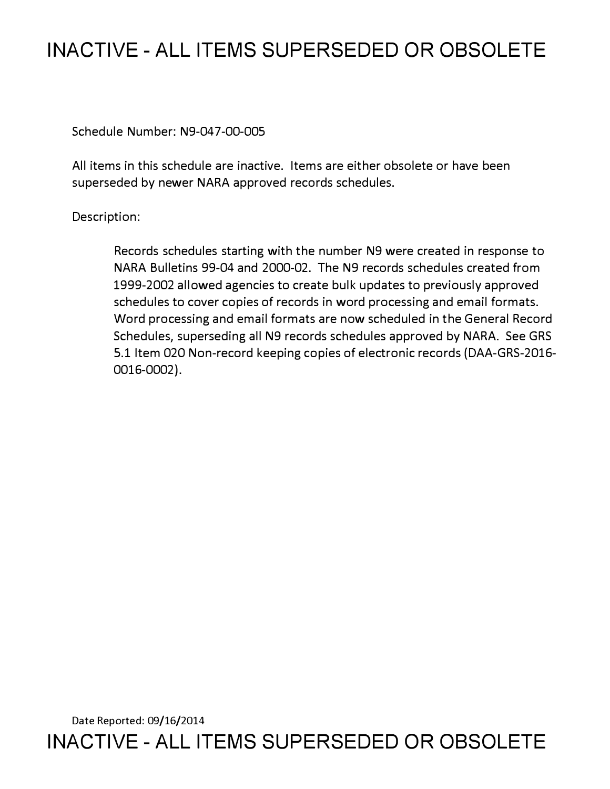# **INACTIVE - ALL ITEMS SUPERSEDED OR OBSOLETE**

Schedule Number: N9-047-00-005

All items in this schedule are inactive. Items are either obsolete or have been superseded by newer NARA approved records schedules.

# Description:

Records schedules starting with the number N9 were created in response to NARA Bulletins 99-04 and 2000-02. The N9 records schedules created from 1999-2002 allowed agencies to create bulk updates to previously approved schedules to cover copies of records in word processing and email formats. Word processing and email formats are now scheduled in the General Record Schedules, superseding all N9 records schedules approved by NARA. See GRS 5.1 Item 020 Non-record keeping copies of electronic records (DAA-GRS-2016- 0016-0002).

Date Reported: 09/16/2014 **INACTIVE - ALL ITEMS SUPERSEDED OR OBSOLETE**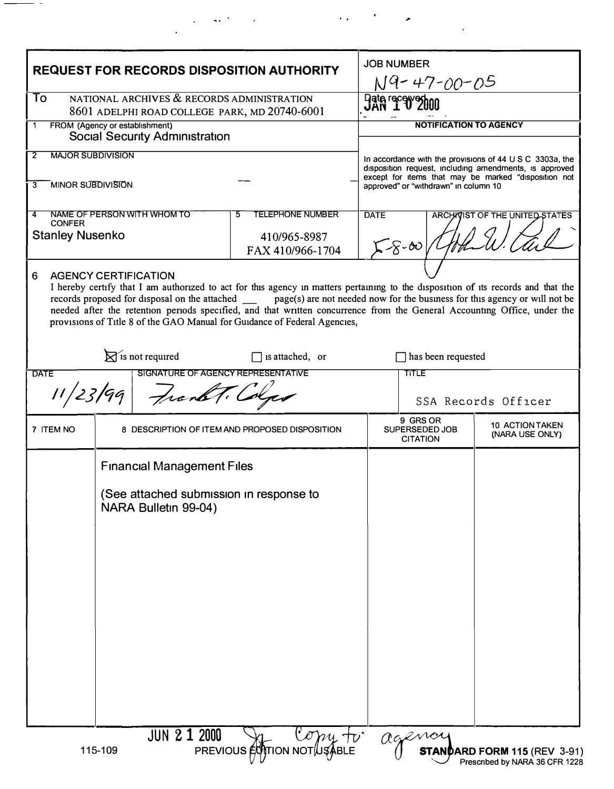| <b>REQUEST FOR RECORDS DISPOSITION AUTHORITY</b>                                                |                                                                                                      |                                                                                                                                                                                                                                                                                                                                                                                                                                                                                 | <b>JOB NUMBER</b><br>N9-47-00-05 |                                                                                                                                                                                                                               |                                           |
|-------------------------------------------------------------------------------------------------|------------------------------------------------------------------------------------------------------|---------------------------------------------------------------------------------------------------------------------------------------------------------------------------------------------------------------------------------------------------------------------------------------------------------------------------------------------------------------------------------------------------------------------------------------------------------------------------------|----------------------------------|-------------------------------------------------------------------------------------------------------------------------------------------------------------------------------------------------------------------------------|-------------------------------------------|
| NATIONAL ARCHIVES & RECORDS ADMINISTRATION<br>To                                                |                                                                                                      |                                                                                                                                                                                                                                                                                                                                                                                                                                                                                 | Have received                    |                                                                                                                                                                                                                               |                                           |
| 8601 ADELPHI ROAD COLLEGE PARK, MD 20740-6001<br>FROM (Agency or establishment)<br>$\mathbf{1}$ |                                                                                                      |                                                                                                                                                                                                                                                                                                                                                                                                                                                                                 | <b>NOTIFICATION TO AGENCY</b>    |                                                                                                                                                                                                                               |                                           |
| <b>Social Security Administration</b>                                                           |                                                                                                      |                                                                                                                                                                                                                                                                                                                                                                                                                                                                                 |                                  |                                                                                                                                                                                                                               |                                           |
| <b>MAJOR SUBDIVISION</b><br>$\overline{2}$<br><b>MINOR SUBDIVISION</b><br>$\overline{3}$        |                                                                                                      |                                                                                                                                                                                                                                                                                                                                                                                                                                                                                 |                                  | In accordance with the provisions of $44 \cup S \cup C$ 3303a, the<br>disposition request, including amendments, is approved<br>except for items that may be marked "disposition not<br>approved" or "withdrawn" in column 10 |                                           |
| NAME OF PERSON WITH WHOM TO<br>4                                                                |                                                                                                      | <b>TELEPHONE NUMBER</b><br>5                                                                                                                                                                                                                                                                                                                                                                                                                                                    | <b>DATE</b>                      | ARCHAVIST OF THE UNITED STATES                                                                                                                                                                                                |                                           |
| <b>CONFER</b><br><b>Stanley Nusenko</b>                                                         |                                                                                                      | 410/965-8987                                                                                                                                                                                                                                                                                                                                                                                                                                                                    | $58 - 00/4$                      |                                                                                                                                                                                                                               |                                           |
|                                                                                                 |                                                                                                      | FAX 410/966-1704                                                                                                                                                                                                                                                                                                                                                                                                                                                                |                                  |                                                                                                                                                                                                                               |                                           |
| <b>AGENCY CERTIFICATION</b><br>6                                                                |                                                                                                      | I hereby certify that I am authorized to act for this agency in matters pertaining to the disposition of its records and that the<br>records proposed for disposal on the attached ________ page(s) are not needed now for the business for this agency or will not be<br>needed after the retention periods specified, and that written concurrence from the General Accounting Office, under the<br>provisions of Title 8 of the GAO Manual for Guidance of Federal Agencies, |                                  |                                                                                                                                                                                                                               |                                           |
| $\mathbb{R}$ is not required<br>$\Box$ is attached, or                                          |                                                                                                      |                                                                                                                                                                                                                                                                                                                                                                                                                                                                                 | has been requested               |                                                                                                                                                                                                                               |                                           |
| SIGNATURE OF AGENCY REPRESENTATIVE<br><b>DATE</b>                                               |                                                                                                      |                                                                                                                                                                                                                                                                                                                                                                                                                                                                                 |                                  | TITLE                                                                                                                                                                                                                         |                                           |
| 11/23/99<br>Frank T. Colp                                                                       |                                                                                                      |                                                                                                                                                                                                                                                                                                                                                                                                                                                                                 | SSA Records Officer              |                                                                                                                                                                                                                               |                                           |
| 7 ITEM NO                                                                                       | 8 DESCRIPTION OF ITEM AND PROPOSED DISPOSITION                                                       |                                                                                                                                                                                                                                                                                                                                                                                                                                                                                 |                                  | 9 GRS OR<br>SUPERSEDED JOB<br><b>CITATION</b>                                                                                                                                                                                 | <b>10 ACTION TAKEN</b><br>(NARA USE ONLY) |
|                                                                                                 | <b>Financial Management Files</b><br>(See attached submission in response to<br>NARA Bulletin 99-04) |                                                                                                                                                                                                                                                                                                                                                                                                                                                                                 |                                  |                                                                                                                                                                                                                               |                                           |

 $\Delta \phi$  and the second contribution of the second contribution  $\Delta \phi$ 

 $\ddot{\phantom{a}}$ 

 $\overline{\phantom{a}}$ 

 $\sim$   $\sim$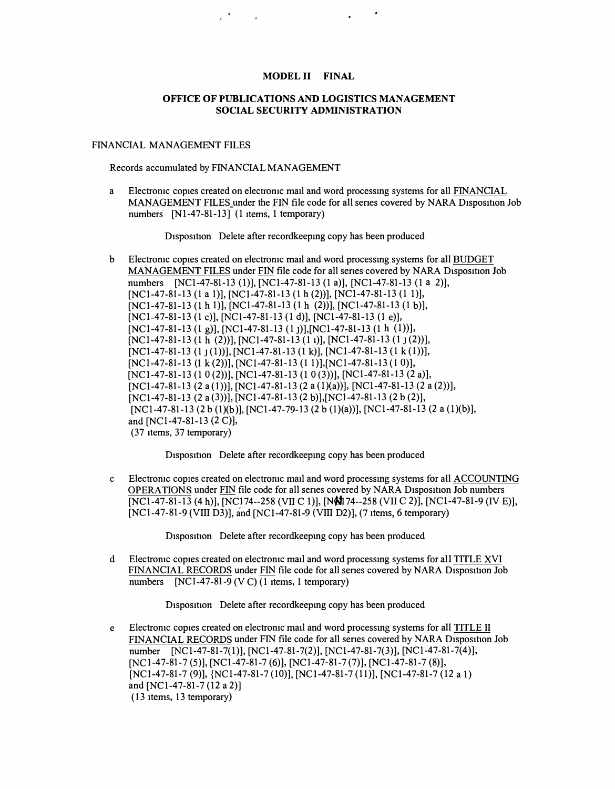## MODEL II FINAL

### OFFICE OF PUBLICATIONS AND LOGISTICS MANAGEMENT SOCIAL SECURITY ADMINISTRATION

#### FINANCIAL MANAGEMENT FILES

Records accumulated by FINANCIAL MANAGEMENT

 $\mathbb{R}^N$  . The set of  $\mathbb{R}^N$ 

a Electromc copies created on electromc mail and word processmg systems for all FINANCIAL MANAGEMENT FILES under the FIN file code for all series covered by NARA Disposition Job numbers  $[N1-47-81-13]$  (1 items, 1 temporary)

Disposition Delete after recordkeeping copy has been produced

b Electromc copies created on electromc mail and word processing systems for all BUDGET MANAGEMENT FILES under FIN file code for all senes covered by NARA Disposition Job numbers [NC1-47-81-13 (1)], [NC1-47-81-13 (1 a)], [NC1-47-81-13 (1 a 2)], [NCl-47-81-13 (1 a 1)], [NCl-47-81-13 (1 h (2))], [NCl-47-81-13 (1 1)], [NC1-47-81-13 (1 h 1)], [NC1-47-81-13 (1 h (2))], [NC1-47-81-13 (1 b)], [NC1-47-81-13 (1 c)], [NC1-47-81-13 (1 d)], [NC1-47-81-13 (1 e)], [NCl-47-81-13 (1 g)], [NCl-47-81-13 (1 j)], [NCl-47-81-13 (1 h (1))], [NCl-47-81-13 (1 h (2))], [NCl-47-81-13 (1 1)], [NCl-47-81-13 (1 1 (2))],  $[NC1-47-81-13(1)(1)]$ ,  $[NC1-47-81-13(1k)]$ ,  $[NC1-47-81-13(1k(1))]$ , [NCl-47-81-13 (I k (2))], [NCl-47-81-13 (1 l)],[NCl-47-81-13 (1 O)], [NCl-47-81-13 (1 0 (2))], [NCl-47-81-13 (1 0 (3))], [NCl-47-81-13 (2 a)], [NC1-47-81-13 (2 a (1))], [NC1-47-81-13 (2 a (1)(a))], [NC1-47-81-13 (2 a (2))], [NCl-47-81-13 (2 a (3))], [NCl-47-81-13 (2 b)], [NCl-47-81-13 (2 b (2)], [NCl-47-81-13 (2 b (l)(b)], [NCl-47-79-13 (2 b **(!)(a))],** [NCl-47-81-13 (2 a (l)(b)], and [NCl-47-81-13 (2 C)], (37 items, 37 temporary)

Disposition Delete after recordkeeping copy has been produced

c Electromc copies created on electromc mail and word processmg systems for all ACCOUNTING OPERATIONS under FIN file code for all series covered by NARA Disposition Job numbers [NCl-47-81-13 (4 h)], [NC174--258 (VII C l)], [Nfi1}74--258 (VII C 2)], [NCl-47-81-9 (IV E)], [NC1-47-81-9 (VIII D3)], and [NC1-47-81-9 (VIII D2)], (7 items, 6 temporary)

Disposition Delete after recordkeeping copy has been produced

d Electromc copies created on electromc mail and word processing systems for all TITLE XVI FINANCIAL RECORDS under FIN file code for all senes covered by NARA Disposition Job numbers [NC1-47-81-9 (V C) (1 items, 1 temporary)

Disposition Delete after recordkeeping copy has been produced

e Electromc copies created on electromc mail and word processmg systems for all TITLE II FINANCIAL RECORDS under FIN file code for all series covered by NARA Disposition Job number (NCl-47-81-7(1)], [NCl-47-81-7(2)], (NCl-47-81-7(3)], [NCl-47-81-7(4)], [NC 1-47-81-7 (5)], [NCl-47-81-7 (6)], [NCl-47-81-7 (7)], [NCl-47-81-7 (8)], [NCl-47-81-7 (9)], {NCl-47-81-7 (10)], (NCl-47-81-7 (11)], (NCl-47-81-7 (12 a 1) and [NCl-47-81-7 (12 a 2)] (13 items, 13 temporary)